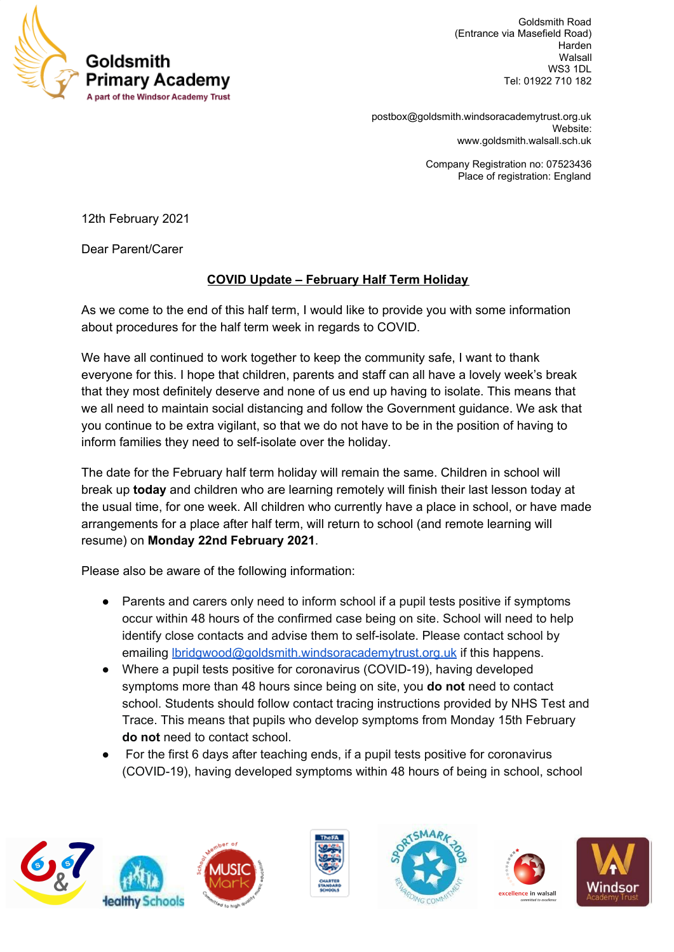

Goldsmith Road (Entrance via Masefield Road) Harden Walsall WS3 1DL Tel: 01922 710 182

[postbox@goldsmith.windsoracademytrust.org.uk](mailto:postbox@goldsmith.windsoracademytrust.org.uk) Website: [www.goldsmith.walsall.sch.uk](http://www.goldsmith.walsall.sch.uk/)

> Company Registration no: 07523436 Place of registration: England

12th February 2021

Dear Parent/Carer

## **COVID Update – February Half Term Holiday**

As we come to the end of this half term, I would like to provide you with some information about procedures for the half term week in regards to COVID.

We have all continued to work together to keep the community safe, I want to thank everyone for this. I hope that children, parents and staff can all have a lovely week's break that they most definitely deserve and none of us end up having to isolate. This means that we all need to maintain social distancing and follow the Government guidance. We ask that you continue to be extra vigilant, so that we do not have to be in the position of having to inform families they need to self-isolate over the holiday.

The date for the February half term holiday will remain the same. Children in school will break up **today** and children who are learning remotely will finish their last lesson today at the usual time, for one week. All children who currently have a place in school, or have made arrangements for a place after half term, will return to school (and remote learning will resume) on **Monday 22nd February 2021**.

Please also be aware of the following information:

- Parents and carers only need to inform school if a pupil tests positive if symptoms occur within 48 hours of the confirmed case being on site. School will need to help identify close contacts and advise them to self-isolate. Please contact school by emailing [lbridgwood@goldsmith.windsoracademytrust.org.uk](mailto:lbridgwood@goldsmith.windsoracademytrust.org.uk) if this happens.
- Where a pupil tests positive for coronavirus (COVID-19), having developed symptoms more than 48 hours since being on site, you **do not** need to contact school. Students should follow contact tracing instructions provided by NHS Test and Trace. This means that pupils who develop symptoms from Monday 15th February **do not** need to contact school.
- For the first 6 days after teaching ends, if a pupil tests positive for coronavirus (COVID-19), having developed symptoms within 48 hours of being in school, school